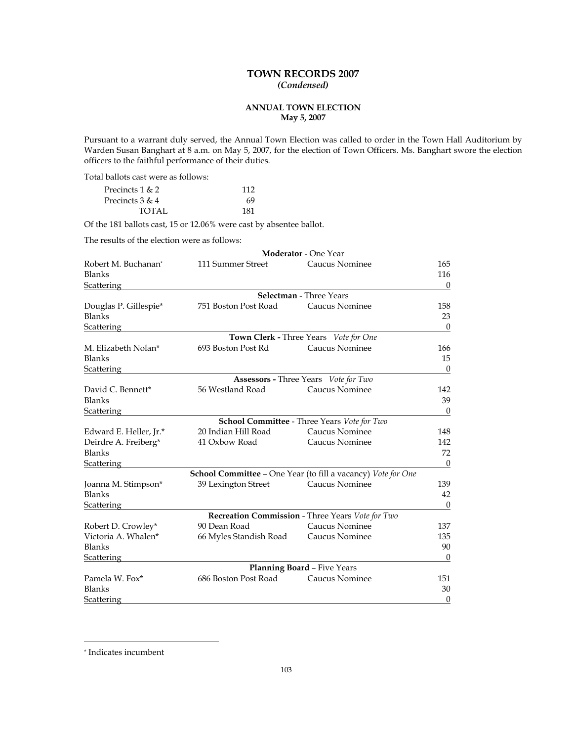# **TOWN RECORDS 2007**  *(Condensed)*

# **ANNUAL TOWN ELECTION May 5, 2007**

Pursuant to a warrant duly served, the Annual Town Election was called to order in the Town Hall Auditorium by Warden Susan Banghart at 8 a.m. on May 5, 2007, for the election of Town Officers. Ms. Banghart swore the election officers to the faithful performance of their duties.

Total ballots cast were as follows:

| Precincts 1 & 2   | 112 |
|-------------------|-----|
| Precincts $3 & 4$ | 69  |
| TOTAL             | 181 |

Of the 181 ballots cast, 15 or 12.06% were cast by absentee ballot.

The results of the election were as follows:

| Robert M. Buchanan*<br>111 Summer Street<br>Caucus Nominee<br><b>Blanks</b><br>116<br><b>Scattering</b><br>$\mathbf{0}$<br>Selectman - Three Years<br>751 Boston Post Road<br>Caucus Nominee<br>Douglas P. Gillespie*<br>158<br>Blanks<br>23<br>$\mathbf{0}$<br><b>Scattering</b><br>Town Clerk - Three Years Vote for One<br>Caucus Nominee<br>M. Elizabeth Nolan*<br>693 Boston Post Rd<br>166<br><b>Blanks</b><br>15<br>Scattering<br>$\theta$<br><b>Assessors - Three Years</b> Vote for Two<br>David C. Bennett*<br>Caucus Nominee<br>56 Westland Road<br>142<br><b>Blanks</b><br>$\theta$<br>Scattering<br><b>School Committee - Three Years Vote for Two</b><br>20 Indian Hill Road<br>Caucus Nominee<br>Edward E. Heller, Jr.*<br>41 Oxbow Road<br>Caucus Nominee<br>142<br>Deirdre A. Freiberg*<br><b>Blanks</b><br>72<br>$\boldsymbol{0}$<br>Scattering<br>School Committee - One Year (to fill a vacancy) Vote for One<br>39 Lexington Street<br>Caucus Nominee<br>Joanna M. Stimpson*<br><b>Blanks</b><br>42<br>$\boldsymbol{0}$<br><b>Scattering</b><br>Recreation Commission - Three Years Vote for Two<br>90 Dean Road |                    | <b>Moderator - One Year</b> |     |
|---------------------------------------------------------------------------------------------------------------------------------------------------------------------------------------------------------------------------------------------------------------------------------------------------------------------------------------------------------------------------------------------------------------------------------------------------------------------------------------------------------------------------------------------------------------------------------------------------------------------------------------------------------------------------------------------------------------------------------------------------------------------------------------------------------------------------------------------------------------------------------------------------------------------------------------------------------------------------------------------------------------------------------------------------------------------------------------------------------------------------------------|--------------------|-----------------------------|-----|
| 39                                                                                                                                                                                                                                                                                                                                                                                                                                                                                                                                                                                                                                                                                                                                                                                                                                                                                                                                                                                                                                                                                                                                    |                    |                             | 165 |
| 148<br>139<br>137                                                                                                                                                                                                                                                                                                                                                                                                                                                                                                                                                                                                                                                                                                                                                                                                                                                                                                                                                                                                                                                                                                                     |                    |                             |     |
|                                                                                                                                                                                                                                                                                                                                                                                                                                                                                                                                                                                                                                                                                                                                                                                                                                                                                                                                                                                                                                                                                                                                       |                    |                             |     |
|                                                                                                                                                                                                                                                                                                                                                                                                                                                                                                                                                                                                                                                                                                                                                                                                                                                                                                                                                                                                                                                                                                                                       |                    |                             |     |
|                                                                                                                                                                                                                                                                                                                                                                                                                                                                                                                                                                                                                                                                                                                                                                                                                                                                                                                                                                                                                                                                                                                                       |                    |                             |     |
|                                                                                                                                                                                                                                                                                                                                                                                                                                                                                                                                                                                                                                                                                                                                                                                                                                                                                                                                                                                                                                                                                                                                       |                    |                             |     |
|                                                                                                                                                                                                                                                                                                                                                                                                                                                                                                                                                                                                                                                                                                                                                                                                                                                                                                                                                                                                                                                                                                                                       |                    |                             |     |
|                                                                                                                                                                                                                                                                                                                                                                                                                                                                                                                                                                                                                                                                                                                                                                                                                                                                                                                                                                                                                                                                                                                                       |                    |                             |     |
|                                                                                                                                                                                                                                                                                                                                                                                                                                                                                                                                                                                                                                                                                                                                                                                                                                                                                                                                                                                                                                                                                                                                       |                    |                             |     |
|                                                                                                                                                                                                                                                                                                                                                                                                                                                                                                                                                                                                                                                                                                                                                                                                                                                                                                                                                                                                                                                                                                                                       |                    |                             |     |
|                                                                                                                                                                                                                                                                                                                                                                                                                                                                                                                                                                                                                                                                                                                                                                                                                                                                                                                                                                                                                                                                                                                                       |                    |                             |     |
|                                                                                                                                                                                                                                                                                                                                                                                                                                                                                                                                                                                                                                                                                                                                                                                                                                                                                                                                                                                                                                                                                                                                       |                    |                             |     |
|                                                                                                                                                                                                                                                                                                                                                                                                                                                                                                                                                                                                                                                                                                                                                                                                                                                                                                                                                                                                                                                                                                                                       |                    |                             |     |
|                                                                                                                                                                                                                                                                                                                                                                                                                                                                                                                                                                                                                                                                                                                                                                                                                                                                                                                                                                                                                                                                                                                                       |                    |                             |     |
|                                                                                                                                                                                                                                                                                                                                                                                                                                                                                                                                                                                                                                                                                                                                                                                                                                                                                                                                                                                                                                                                                                                                       |                    |                             |     |
|                                                                                                                                                                                                                                                                                                                                                                                                                                                                                                                                                                                                                                                                                                                                                                                                                                                                                                                                                                                                                                                                                                                                       |                    |                             |     |
|                                                                                                                                                                                                                                                                                                                                                                                                                                                                                                                                                                                                                                                                                                                                                                                                                                                                                                                                                                                                                                                                                                                                       |                    |                             |     |
|                                                                                                                                                                                                                                                                                                                                                                                                                                                                                                                                                                                                                                                                                                                                                                                                                                                                                                                                                                                                                                                                                                                                       |                    |                             |     |
|                                                                                                                                                                                                                                                                                                                                                                                                                                                                                                                                                                                                                                                                                                                                                                                                                                                                                                                                                                                                                                                                                                                                       |                    |                             |     |
|                                                                                                                                                                                                                                                                                                                                                                                                                                                                                                                                                                                                                                                                                                                                                                                                                                                                                                                                                                                                                                                                                                                                       |                    |                             |     |
|                                                                                                                                                                                                                                                                                                                                                                                                                                                                                                                                                                                                                                                                                                                                                                                                                                                                                                                                                                                                                                                                                                                                       |                    |                             |     |
|                                                                                                                                                                                                                                                                                                                                                                                                                                                                                                                                                                                                                                                                                                                                                                                                                                                                                                                                                                                                                                                                                                                                       |                    |                             |     |
|                                                                                                                                                                                                                                                                                                                                                                                                                                                                                                                                                                                                                                                                                                                                                                                                                                                                                                                                                                                                                                                                                                                                       |                    |                             |     |
|                                                                                                                                                                                                                                                                                                                                                                                                                                                                                                                                                                                                                                                                                                                                                                                                                                                                                                                                                                                                                                                                                                                                       |                    |                             |     |
|                                                                                                                                                                                                                                                                                                                                                                                                                                                                                                                                                                                                                                                                                                                                                                                                                                                                                                                                                                                                                                                                                                                                       | Robert D. Crowley* | Caucus Nominee              |     |
| Victoria A. Whalen*<br>135<br>66 Myles Standish Road<br>Caucus Nominee                                                                                                                                                                                                                                                                                                                                                                                                                                                                                                                                                                                                                                                                                                                                                                                                                                                                                                                                                                                                                                                                |                    |                             |     |
| <b>Blanks</b><br>90                                                                                                                                                                                                                                                                                                                                                                                                                                                                                                                                                                                                                                                                                                                                                                                                                                                                                                                                                                                                                                                                                                                   |                    |                             |     |
| $\Omega$<br><b>Scattering</b>                                                                                                                                                                                                                                                                                                                                                                                                                                                                                                                                                                                                                                                                                                                                                                                                                                                                                                                                                                                                                                                                                                         |                    |                             |     |
| Planning Board - Five Years                                                                                                                                                                                                                                                                                                                                                                                                                                                                                                                                                                                                                                                                                                                                                                                                                                                                                                                                                                                                                                                                                                           |                    |                             |     |
| Pamela W. Fox*<br>686 Boston Post Road<br>Caucus Nominee<br>151                                                                                                                                                                                                                                                                                                                                                                                                                                                                                                                                                                                                                                                                                                                                                                                                                                                                                                                                                                                                                                                                       |                    |                             |     |
| <b>Blanks</b><br>30                                                                                                                                                                                                                                                                                                                                                                                                                                                                                                                                                                                                                                                                                                                                                                                                                                                                                                                                                                                                                                                                                                                   |                    |                             |     |
| $\boldsymbol{0}$<br><b>Scattering</b>                                                                                                                                                                                                                                                                                                                                                                                                                                                                                                                                                                                                                                                                                                                                                                                                                                                                                                                                                                                                                                                                                                 |                    |                             |     |

 $\overline{a}$ 

<sup>\*</sup> Indicates incumbent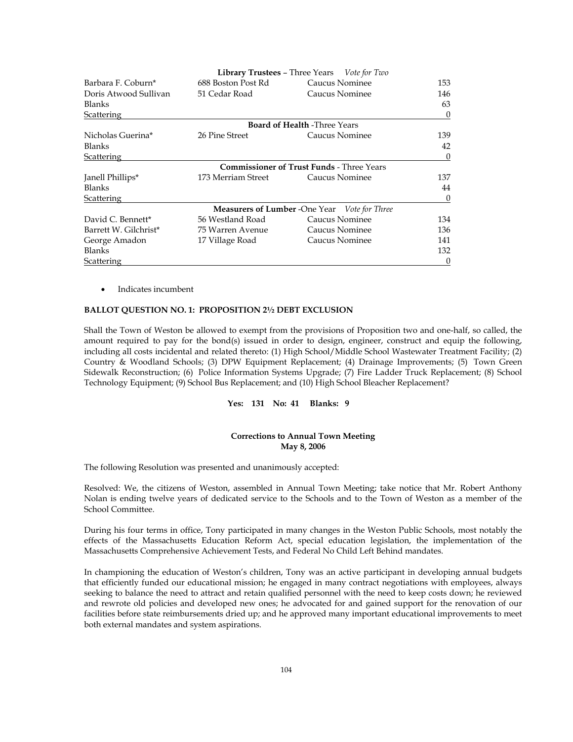|                       |                    | <b>Library Trustees - Three Years</b> Vote for Two  |          |
|-----------------------|--------------------|-----------------------------------------------------|----------|
| Barbara F. Coburn*    | 688 Boston Post Rd | Caucus Nominee                                      | 153      |
| Doris Atwood Sullivan | 51 Cedar Road      | Caucus Nominee                                      | 146      |
| Blanks                |                    |                                                     | 63       |
| <b>Scattering</b>     |                    |                                                     | $\theta$ |
|                       |                    | <b>Board of Health -Three Years</b>                 |          |
| Nicholas Guerina*     | 26 Pine Street     | Caucus Nominee                                      | 139      |
| <b>Blanks</b>         |                    |                                                     | 42       |
| <b>Scattering</b>     |                    |                                                     | $\theta$ |
|                       |                    | <b>Commissioner of Trust Funds - Three Years</b>    |          |
| Janell Phillips*      | 173 Merriam Street | Caucus Nominee                                      | 137      |
| Blanks                |                    |                                                     | 44       |
| <b>Scattering</b>     |                    |                                                     | $\theta$ |
|                       |                    | <b>Measurers of Lumber -One Year</b> Vote for Three |          |
| David C. Bennett*     | 56 Westland Road   | Caucus Nominee                                      | 134      |
| Barrett W. Gilchrist* | 75 Warren Avenue   | Caucus Nominee                                      | 136      |
| George Amadon         | 17 Village Road    | Caucus Nominee                                      | 141      |
| <b>Blanks</b>         |                    |                                                     | 132      |
| Scattering            |                    |                                                     | $\theta$ |

• Indicates incumbent

# **BALLOT QUESTION NO. 1: PROPOSITION 2½ DEBT EXCLUSION**

Shall the Town of Weston be allowed to exempt from the provisions of Proposition two and one-half, so called, the amount required to pay for the bond(s) issued in order to design, engineer, construct and equip the following, including all costs incidental and related thereto: (1) High School/Middle School Wastewater Treatment Facility; (2) Country & Woodland Schools; (3) DPW Equipment Replacement; (4) Drainage Improvements; (5) Town Green Sidewalk Reconstruction; (6) Police Information Systems Upgrade; (7) Fire Ladder Truck Replacement; (8) School Technology Equipment; (9) School Bus Replacement; and (10) High School Bleacher Replacement?

# **Yes: 131 No: 41 Blanks: 9**

# **Corrections to Annual Town Meeting May 8, 2006**

The following Resolution was presented and unanimously accepted:

Resolved: We, the citizens of Weston, assembled in Annual Town Meeting; take notice that Mr. Robert Anthony Nolan is ending twelve years of dedicated service to the Schools and to the Town of Weston as a member of the School Committee.

During his four terms in office, Tony participated in many changes in the Weston Public Schools, most notably the effects of the Massachusetts Education Reform Act, special education legislation, the implementation of the Massachusetts Comprehensive Achievement Tests, and Federal No Child Left Behind mandates.

In championing the education of Weston's children, Tony was an active participant in developing annual budgets that efficiently funded our educational mission; he engaged in many contract negotiations with employees, always seeking to balance the need to attract and retain qualified personnel with the need to keep costs down; he reviewed and rewrote old policies and developed new ones; he advocated for and gained support for the renovation of our facilities before state reimbursements dried up; and he approved many important educational improvements to meet both external mandates and system aspirations.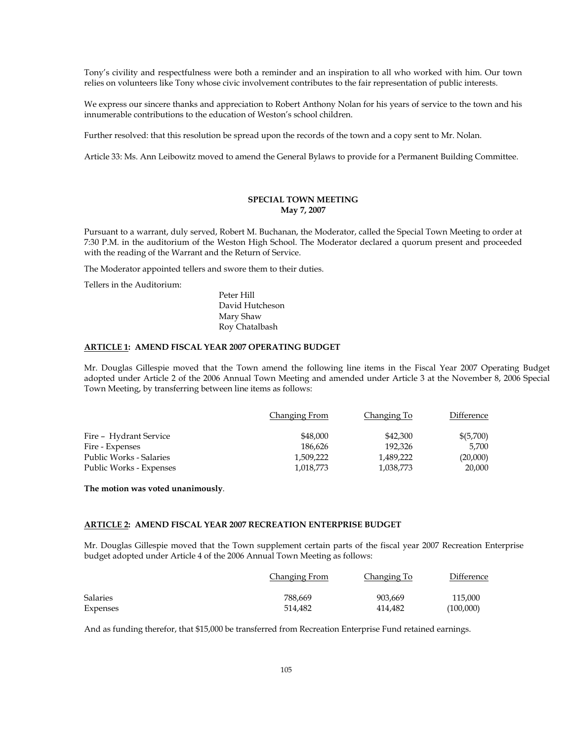Tony's civility and respectfulness were both a reminder and an inspiration to all who worked with him. Our town relies on volunteers like Tony whose civic involvement contributes to the fair representation of public interests.

We express our sincere thanks and appreciation to Robert Anthony Nolan for his years of service to the town and his innumerable contributions to the education of Weston's school children.

Further resolved: that this resolution be spread upon the records of the town and a copy sent to Mr. Nolan.

Article 33: Ms. Ann Leibowitz moved to amend the General Bylaws to provide for a Permanent Building Committee.

# **SPECIAL TOWN MEETING May 7, 2007**

Pursuant to a warrant, duly served, Robert M. Buchanan, the Moderator, called the Special Town Meeting to order at 7:30 P.M. in the auditorium of the Weston High School. The Moderator declared a quorum present and proceeded with the reading of the Warrant and the Return of Service.

The Moderator appointed tellers and swore them to their duties.

Tellers in the Auditorium:

Peter Hill David Hutcheson Mary Shaw Roy Chatalbash

## **ARTICLE 1: AMEND FISCAL YEAR 2007 OPERATING BUDGET**

Mr. Douglas Gillespie moved that the Town amend the following line items in the Fiscal Year 2007 Operating Budget adopted under Article 2 of the 2006 Annual Town Meeting and amended under Article 3 at the November 8, 2006 Special Town Meeting, by transferring between line items as follows:

|                                | Changing From | Changing To | Difference |
|--------------------------------|---------------|-------------|------------|
| Fire - Hydrant Service         | \$48,000      | \$42,300    | \$(5,700)  |
| Fire - Expenses                | 186.626       | 192,326     | 5.700      |
| <b>Public Works - Salaries</b> | 1,509,222     | 1,489,222   | (20,000)   |
| Public Works - Expenses        | 1,018,773     | 1,038,773   | 20,000     |

**The motion was voted unanimously**.

# **ARTICLE 2: AMEND FISCAL YEAR 2007 RECREATION ENTERPRISE BUDGET**

Mr. Douglas Gillespie moved that the Town supplement certain parts of the fiscal year 2007 Recreation Enterprise budget adopted under Article 4 of the 2006 Annual Town Meeting as follows:

|                 | Changing From | Changing To | Difference |
|-----------------|---------------|-------------|------------|
| <b>Salaries</b> | 788.669       | 903.669     | 115,000    |
| Expenses        | 514.482       | 414.482     | (100,000)  |

And as funding therefor, that \$15,000 be transferred from Recreation Enterprise Fund retained earnings.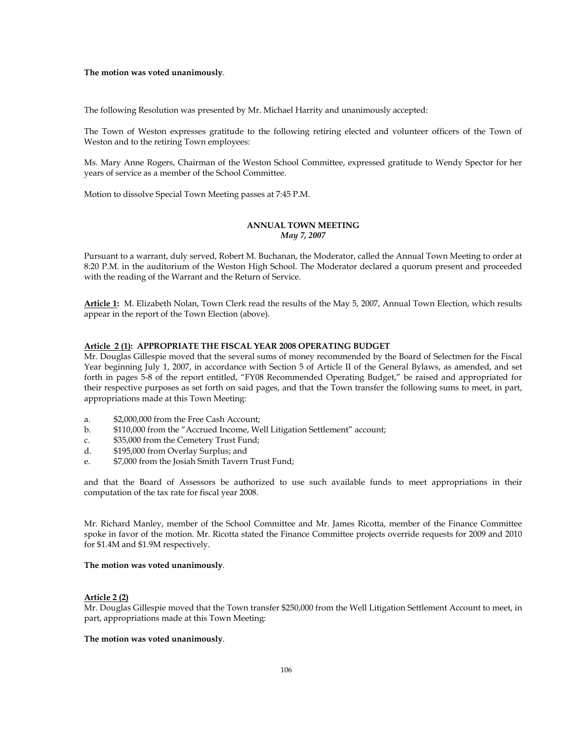The following Resolution was presented by Mr. Michael Harrity and unanimously accepted:

The Town of Weston expresses gratitude to the following retiring elected and volunteer officers of the Town of Weston and to the retiring Town employees:

Ms. Mary Anne Rogers, Chairman of the Weston School Committee, expressed gratitude to Wendy Spector for her years of service as a member of the School Committee.

Motion to dissolve Special Town Meeting passes at 7:45 P.M.

#### **ANNUAL TOWN MEETING**  *May 7, 2007*

Pursuant to a warrant, duly served, Robert M. Buchanan, the Moderator, called the Annual Town Meeting to order at 8:20 P.M. in the auditorium of the Weston High School. The Moderator declared a quorum present and proceeded with the reading of the Warrant and the Return of Service.

**Article 1:** M. Elizabeth Nolan, Town Clerk read the results of the May 5, 2007, Annual Town Election, which results appear in the report of the Town Election (above).

# **Article 2 (1): APPROPRIATE THE FISCAL YEAR 2008 OPERATING BUDGET**

Mr. Douglas Gillespie moved that the several sums of money recommended by the Board of Selectmen for the Fiscal Year beginning July 1, 2007, in accordance with Section 5 of Article II of the General Bylaws, as amended, and set forth in pages 5-8 of the report entitled, "FY08 Recommended Operating Budget," be raised and appropriated for their respective purposes as set forth on said pages, and that the Town transfer the following sums to meet, in part, appropriations made at this Town Meeting:

- a. \$2,000,000 from the Free Cash Account;
- b. \$110,000 from the "Accrued Income, Well Litigation Settlement" account;
- c. \$35,000 from the Cemetery Trust Fund;
- d. \$195,000 from Overlay Surplus; and
- e. \$7,000 from the Josiah Smith Tavern Trust Fund;

and that the Board of Assessors be authorized to use such available funds to meet appropriations in their computation of the tax rate for fiscal year 2008.

Mr. Richard Manley, member of the School Committee and Mr. James Ricotta, member of the Finance Committee spoke in favor of the motion. Mr. Ricotta stated the Finance Committee projects override requests for 2009 and 2010 for \$1.4M and \$1.9M respectively.

#### **The motion was voted unanimously**.

#### **Article 2 (2)**

Mr. Douglas Gillespie moved that the Town transfer \$250,000 from the Well Litigation Settlement Account to meet, in part, appropriations made at this Town Meeting: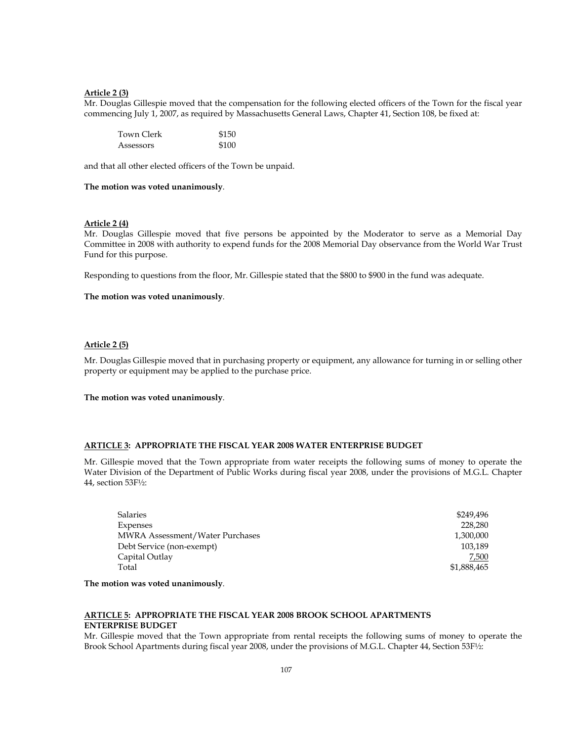## **Article 2 (3)**

Mr. Douglas Gillespie moved that the compensation for the following elected officers of the Town for the fiscal year commencing July 1, 2007, as required by Massachusetts General Laws, Chapter 41, Section 108, be fixed at:

| Town Clerk | \$150 |
|------------|-------|
| Assessors  | \$100 |

and that all other elected officers of the Town be unpaid.

#### **The motion was voted unanimously**.

#### **Article 2 (4)**

Mr. Douglas Gillespie moved that five persons be appointed by the Moderator to serve as a Memorial Day Committee in 2008 with authority to expend funds for the 2008 Memorial Day observance from the World War Trust Fund for this purpose.

Responding to questions from the floor, Mr. Gillespie stated that the \$800 to \$900 in the fund was adequate.

#### **The motion was voted unanimously**.

### **Article 2 (5)**

Mr. Douglas Gillespie moved that in purchasing property or equipment, any allowance for turning in or selling other property or equipment may be applied to the purchase price.

#### **The motion was voted unanimously**.

# **ARTICLE 3: APPROPRIATE THE FISCAL YEAR 2008 WATER ENTERPRISE BUDGET**

Mr. Gillespie moved that the Town appropriate from water receipts the following sums of money to operate the Water Division of the Department of Public Works during fiscal year 2008, under the provisions of M.G.L. Chapter 44, section 53F½:

| Salaries                               | \$249,496   |
|----------------------------------------|-------------|
| Expenses                               | 228,280     |
| <b>MWRA Assessment/Water Purchases</b> | 1,300,000   |
| Debt Service (non-exempt)              | 103.189     |
| Capital Outlay                         | 7,500       |
| Total                                  | \$1,888,465 |

**The motion was voted unanimously**.

# **ARTICLE 5: APPROPRIATE THE FISCAL YEAR 2008 BROOK SCHOOL APARTMENTS ENTERPRISE BUDGET**

Mr. Gillespie moved that the Town appropriate from rental receipts the following sums of money to operate the Brook School Apartments during fiscal year 2008, under the provisions of M.G.L. Chapter 44, Section 53F½: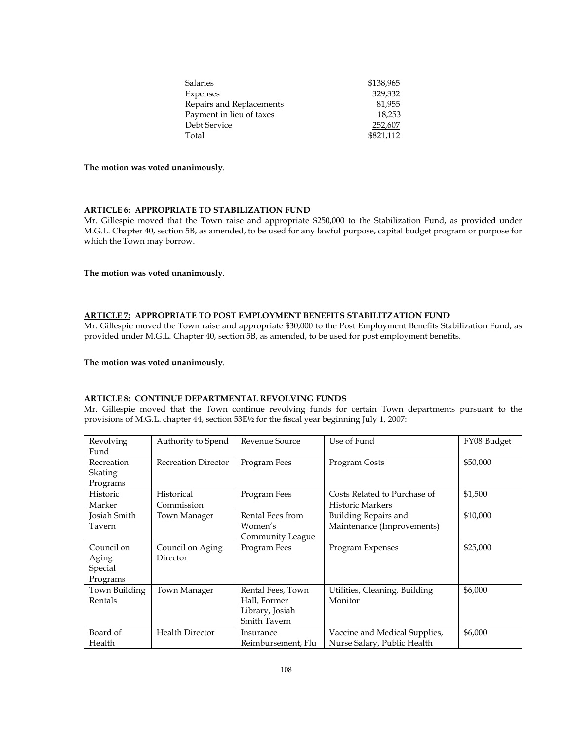| <b>Salaries</b>          | \$138,965 |
|--------------------------|-----------|
| Expenses                 | 329.332   |
| Repairs and Replacements | 81,955    |
| Payment in lieu of taxes | 18.253    |
| Debt Service             | 252,607   |
| Total                    | \$821,112 |

### **ARTICLE 6: APPROPRIATE TO STABILIZATION FUND**

Mr. Gillespie moved that the Town raise and appropriate \$250,000 to the Stabilization Fund, as provided under M.G.L. Chapter 40, section 5B, as amended, to be used for any lawful purpose, capital budget program or purpose for which the Town may borrow.

# **The motion was voted unanimously**.

# **ARTICLE 7: APPROPRIATE TO POST EMPLOYMENT BENEFITS STABILITZATION FUND**

Mr. Gillespie moved the Town raise and appropriate \$30,000 to the Post Employment Benefits Stabilization Fund, as provided under M.G.L. Chapter 40, section 5B, as amended, to be used for post employment benefits.

#### **The motion was voted unanimously**.

# **ARTICLE 8: CONTINUE DEPARTMENTAL REVOLVING FUNDS**

Mr. Gillespie moved that the Town continue revolving funds for certain Town departments pursuant to the provisions of M.G.L. chapter 44, section 53E½ for the fiscal year beginning July 1, 2007:

| Revolving     | Authority to Spend         | Revenue Source      | Use of Fund                   | FY08 Budget |
|---------------|----------------------------|---------------------|-------------------------------|-------------|
| Fund          |                            |                     |                               |             |
| Recreation    | <b>Recreation Director</b> | Program Fees        | Program Costs                 | \$50,000    |
| Skating       |                            |                     |                               |             |
| Programs      |                            |                     |                               |             |
| Historic      | Historical                 | Program Fees        | Costs Related to Purchase of  | \$1,500     |
| Marker        | Commission                 |                     | <b>Historic Markers</b>       |             |
| Josiah Smith  | <b>Town Manager</b>        | Rental Fees from    | Building Repairs and          | \$10,000    |
| Tavern        |                            | Women's             | Maintenance (Improvements)    |             |
|               |                            | Community League    |                               |             |
| Council on    | Council on Aging           | Program Fees        | Program Expenses              | \$25,000    |
| Aging         | Director                   |                     |                               |             |
| Special       |                            |                     |                               |             |
| Programs      |                            |                     |                               |             |
| Town Building | Town Manager               | Rental Fees, Town   | Utilities, Cleaning, Building | \$6,000     |
| Rentals       |                            | Hall, Former        | Monitor                       |             |
|               |                            | Library, Josiah     |                               |             |
|               |                            | <b>Smith Tavern</b> |                               |             |
| Board of      | <b>Health Director</b>     | Insurance           | Vaccine and Medical Supplies, | \$6,000     |
| Health        |                            | Reimbursement, Flu  | Nurse Salary, Public Health   |             |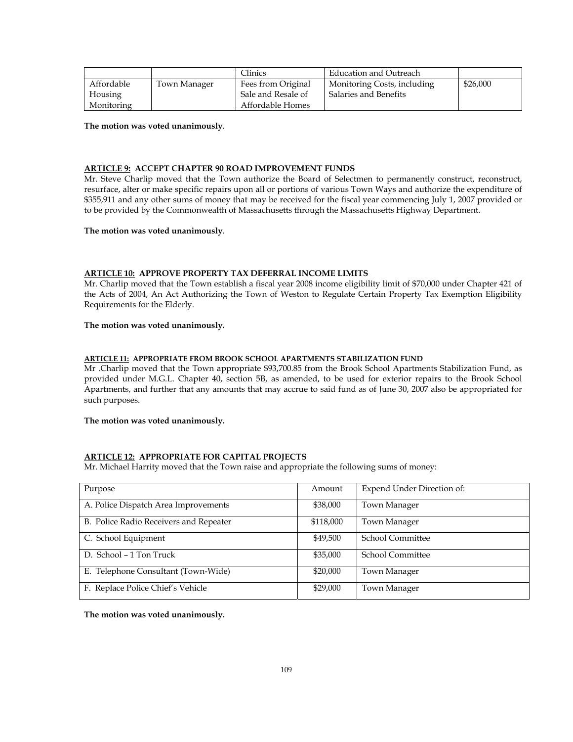|            |              | <b>Clinics</b>     | Education and Outreach      |          |
|------------|--------------|--------------------|-----------------------------|----------|
| Affordable | Town Manager | Fees from Original | Monitoring Costs, including | \$26,000 |
| Housing    |              | Sale and Resale of | Salaries and Benefits       |          |
| Monitoring |              | Affordable Homes   |                             |          |

# **ARTICLE 9: ACCEPT CHAPTER 90 ROAD IMPROVEMENT FUNDS**

Mr. Steve Charlip moved that the Town authorize the Board of Selectmen to permanently construct, reconstruct, resurface, alter or make specific repairs upon all or portions of various Town Ways and authorize the expenditure of \$355,911 and any other sums of money that may be received for the fiscal year commencing July 1, 2007 provided or to be provided by the Commonwealth of Massachusetts through the Massachusetts Highway Department.

## **The motion was voted unanimously**.

# **ARTICLE 10: APPROVE PROPERTY TAX DEFERRAL INCOME LIMITS**

Mr. Charlip moved that the Town establish a fiscal year 2008 income eligibility limit of \$70,000 under Chapter 421 of the Acts of 2004, An Act Authorizing the Town of Weston to Regulate Certain Property Tax Exemption Eligibility Requirements for the Elderly.

## **The motion was voted unanimously.**

#### **ARTICLE 11: APPROPRIATE FROM BROOK SCHOOL APARTMENTS STABILIZATION FUND**

Mr .Charlip moved that the Town appropriate \$93,700.85 from the Brook School Apartments Stabilization Fund, as provided under M.G.L. Chapter 40, section 5B, as amended, to be used for exterior repairs to the Brook School Apartments, and further that any amounts that may accrue to said fund as of June 30, 2007 also be appropriated for such purposes.

**The motion was voted unanimously.** 

## **ARTICLE 12: APPROPRIATE FOR CAPITAL PROJECTS**

Mr. Michael Harrity moved that the Town raise and appropriate the following sums of money:

| Purpose                                | Amount    | Expend Under Direction of: |
|----------------------------------------|-----------|----------------------------|
| A. Police Dispatch Area Improvements   | \$38,000  | Town Manager               |
| B. Police Radio Receivers and Repeater | \$118,000 | Town Manager               |
| C. School Equipment                    | \$49,500  | <b>School Committee</b>    |
| D. School - 1 Ton Truck                | \$35,000  | <b>School Committee</b>    |
| E. Telephone Consultant (Town-Wide)    | \$20,000  | Town Manager               |
| F. Replace Police Chief's Vehicle      | \$29,000  | Town Manager               |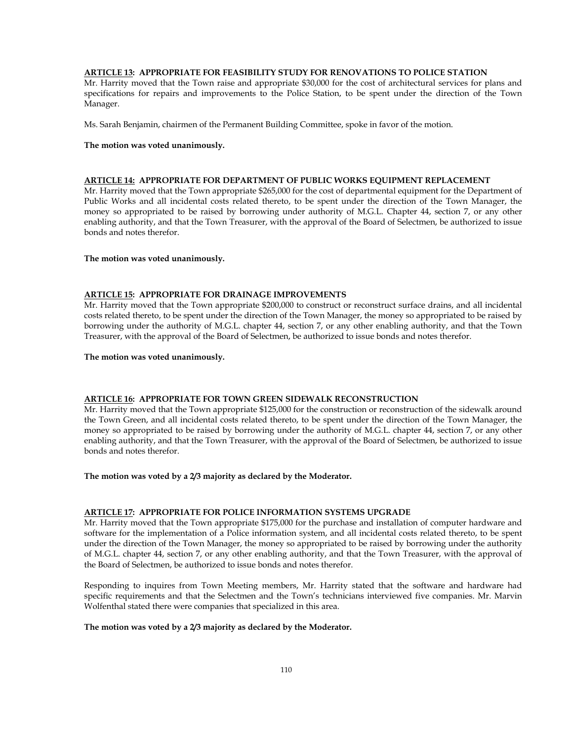# **ARTICLE 13: APPROPRIATE FOR FEASIBILITY STUDY FOR RENOVATIONS TO POLICE STATION**

Mr. Harrity moved that the Town raise and appropriate \$30,000 for the cost of architectural services for plans and specifications for repairs and improvements to the Police Station, to be spent under the direction of the Town Manager.

Ms. Sarah Benjamin, chairmen of the Permanent Building Committee, spoke in favor of the motion.

#### **The motion was voted unanimously.**

# **ARTICLE 14: APPROPRIATE FOR DEPARTMENT OF PUBLIC WORKS EQUIPMENT REPLACEMENT**

Mr. Harrity moved that the Town appropriate \$265,000 for the cost of departmental equipment for the Department of Public Works and all incidental costs related thereto, to be spent under the direction of the Town Manager, the money so appropriated to be raised by borrowing under authority of M.G.L. Chapter 44, section 7, or any other enabling authority, and that the Town Treasurer, with the approval of the Board of Selectmen, be authorized to issue bonds and notes therefor.

### **The motion was voted unanimously.**

#### **ARTICLE 15: APPROPRIATE FOR DRAINAGE IMPROVEMENTS**

Mr. Harrity moved that the Town appropriate \$200,000 to construct or reconstruct surface drains, and all incidental costs related thereto, to be spent under the direction of the Town Manager, the money so appropriated to be raised by borrowing under the authority of M.G.L. chapter 44, section 7, or any other enabling authority, and that the Town Treasurer, with the approval of the Board of Selectmen, be authorized to issue bonds and notes therefor.

### **The motion was voted unanimously.**

## **ARTICLE 16: APPROPRIATE FOR TOWN GREEN SIDEWALK RECONSTRUCTION**

Mr. Harrity moved that the Town appropriate \$125,000 for the construction or reconstruction of the sidewalk around the Town Green, and all incidental costs related thereto, to be spent under the direction of the Town Manager, the money so appropriated to be raised by borrowing under the authority of M.G.L. chapter 44, section 7, or any other enabling authority, and that the Town Treasurer, with the approval of the Board of Selectmen, be authorized to issue bonds and notes therefor.

#### **The motion was voted by a 2/3 majority as declared by the Moderator.**

#### **ARTICLE 17: APPROPRIATE FOR POLICE INFORMATION SYSTEMS UPGRADE**

Mr. Harrity moved that the Town appropriate \$175,000 for the purchase and installation of computer hardware and software for the implementation of a Police information system, and all incidental costs related thereto, to be spent under the direction of the Town Manager, the money so appropriated to be raised by borrowing under the authority of M.G.L. chapter 44, section 7, or any other enabling authority, and that the Town Treasurer, with the approval of the Board of Selectmen, be authorized to issue bonds and notes therefor.

Responding to inquires from Town Meeting members, Mr. Harrity stated that the software and hardware had specific requirements and that the Selectmen and the Town's technicians interviewed five companies. Mr. Marvin Wolfenthal stated there were companies that specialized in this area.

### **The motion was voted by a 2/3 majority as declared by the Moderator.**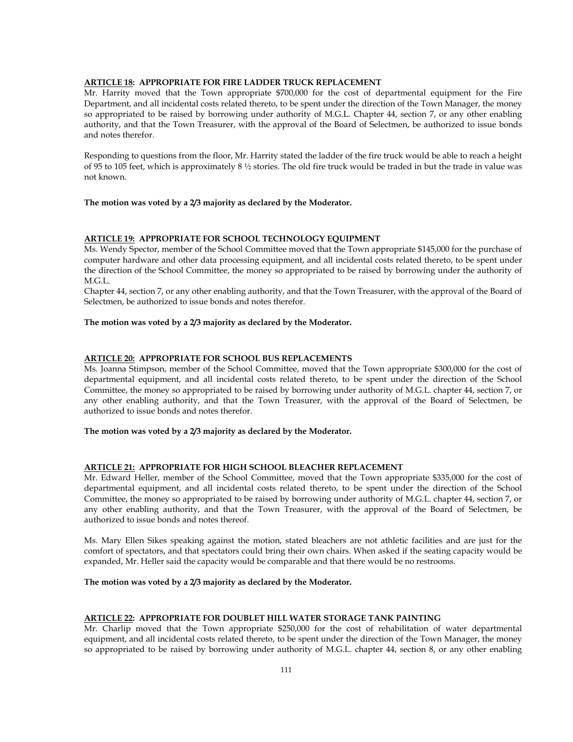# **ARTICLE 18: APPROPRIATE FOR FIRE LADDER TRUCK REPLACEMENT**

Mr. Harrity moved that the Town appropriate \$700,000 for the cost of departmental equipment for the Fire Department, and all incidental costs related thereto, to be spent under the direction of the Town Manager, the money so appropriated to be raised by borrowing under authority of M.G.L. Chapter 44, section 7, or any other enabling authority, and that the Town Treasurer, with the approval of the Board of Selectmen, be authorized to issue bonds and notes therefor.

Responding to questions from the floor, Mr. Harrity stated the ladder of the fire truck would be able to reach a height of 95 to 105 feet, which is approximately 8  $\frac{1}{2}$  stories. The old fire truck would be traded in but the trade in value was not known.

## **The motion was voted by a 2/3 majority as declared by the Moderator.**

#### **ARTICLE 19: APPROPRIATE FOR SCHOOL TECHNOLOGY EQUIPMENT**

Ms. Wendy Spector, member of the School Committee moved that the Town appropriate \$145,000 for the purchase of computer hardware and other data processing equipment, and all incidental costs related thereto, to be spent under the direction of the School Committee, the money so appropriated to be raised by borrowing under the authority of M.G.L.

Chapter 44, section 7, or any other enabling authority, and that the Town Treasurer, with the approval of the Board of Selectmen, be authorized to issue bonds and notes therefor.

### **The motion was voted by a 2/3 majority as declared by the Moderator.**

#### **ARTICLE 20: APPROPRIATE FOR SCHOOL BUS REPLACEMENTS**

Ms. Joanna Stimpson, member of the School Committee, moved that the Town appropriate \$300,000 for the cost of departmental equipment, and all incidental costs related thereto, to be spent under the direction of the School Committee, the money so appropriated to be raised by borrowing under authority of M.G.L. chapter 44, section 7, or any other enabling authority, and that the Town Treasurer, with the approval of the Board of Selectmen, be authorized to issue bonds and notes therefor.

### **The motion was voted by a 2/3 majority as declared by the Moderator.**

#### **ARTICLE 21: APPROPRIATE FOR HIGH SCHOOL BLEACHER REPLACEMENT**

Mr. Edward Heller, member of the School Committee, moved that the Town appropriate \$335,000 for the cost of departmental equipment, and all incidental costs related thereto, to be spent under the direction of the School Committee, the money so appropriated to be raised by borrowing under authority of M.G.L. chapter 44, section 7, or any other enabling authority, and that the Town Treasurer, with the approval of the Board of Selectmen, be authorized to issue bonds and notes thereof.

Ms. Mary Ellen Sikes speaking against the motion, stated bleachers are not athletic facilities and are just for the comfort of spectators, and that spectators could bring their own chairs. When asked if the seating capacity would be expanded, Mr. Heller said the capacity would be comparable and that there would be no restrooms.

### **The motion was voted by a 2/3 majority as declared by the Moderator.**

# **ARTICLE 22: APPROPRIATE FOR DOUBLET HILL WATER STORAGE TANK PAINTING**

Mr. Charlip moved that the Town appropriate \$250,000 for the cost of rehabilitation of water departmental equipment, and all incidental costs related thereto, to be spent under the direction of the Town Manager, the money so appropriated to be raised by borrowing under authority of M.G.L. chapter 44, section 8, or any other enabling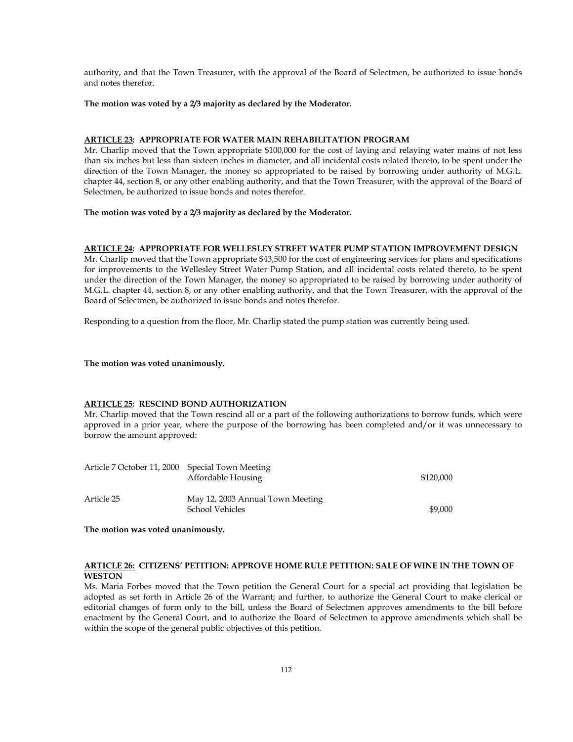authority, and that the Town Treasurer, with the approval of the Board of Selectmen, be authorized to issue bonds and notes therefor.

#### **The motion was voted by a 2/3 majority as declared by the Moderator.**

# **ARTICLE 23: APPROPRIATE FOR WATER MAIN REHABILITATION PROGRAM**

Mr. Charlip moved that the Town appropriate \$100,000 for the cost of laying and relaying water mains of not less than six inches but less than sixteen inches in diameter, and all incidental costs related thereto, to be spent under the direction of the Town Manager, the money so appropriated to be raised by borrowing under authority of M.G.L. chapter 44, section 8, or any other enabling authority, and that the Town Treasurer, with the approval of the Board of Selectmen, be authorized to issue bonds and notes therefor.

### **The motion was voted by a 2/3 majority as declared by the Moderator.**

#### **ARTICLE 24: APPROPRIATE FOR WELLESLEY STREET WATER PUMP STATION IMPROVEMENT DESIGN**

Mr. Charlip moved that the Town appropriate \$43,500 for the cost of engineering services for plans and specifications for improvements to the Wellesley Street Water Pump Station, and all incidental costs related thereto, to be spent under the direction of the Town Manager, the money so appropriated to be raised by borrowing under authority of M.G.L. chapter 44, section 8, or any other enabling authority, and that the Town Treasurer, with the approval of the Board of Selectmen, be authorized to issue bonds and notes therefor.

Responding to a question from the floor, Mr. Charlip stated the pump station was currently being used.

**The motion was voted unanimously.**

#### **ARTICLE 25: RESCIND BOND AUTHORIZATION**

Mr. Charlip moved that the Town rescind all or a part of the following authorizations to borrow funds, which were approved in a prior year, where the purpose of the borrowing has been completed and/or it was unnecessary to borrow the amount approved:

| Article 7 October 11, 2000 Special Town Meeting | Affordable Housing                                  | \$120,000 |
|-------------------------------------------------|-----------------------------------------------------|-----------|
| Article 25                                      | May 12, 2003 Annual Town Meeting<br>School Vehicles | \$9,000   |

**The motion was voted unanimously.** 

# **ARTICLE 26: CITIZENS' PETITION: APPROVE HOME RULE PETITION: SALE OF WINE IN THE TOWN OF WESTON**

Ms. Maria Forbes moved that the Town petition the General Court for a special act providing that legislation be adopted as set forth in Article 26 of the Warrant; and further, to authorize the General Court to make clerical or editorial changes of form only to the bill, unless the Board of Selectmen approves amendments to the bill before enactment by the General Court, and to authorize the Board of Selectmen to approve amendments which shall be within the scope of the general public objectives of this petition.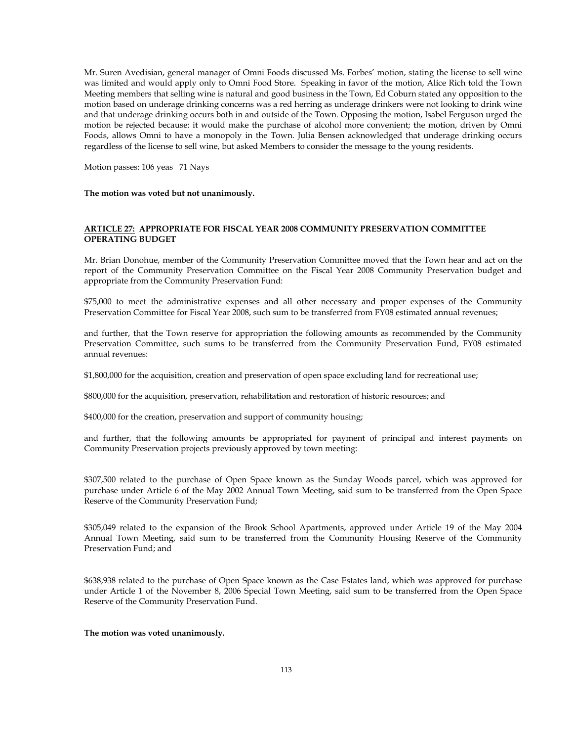Mr. Suren Avedisian, general manager of Omni Foods discussed Ms. Forbes' motion, stating the license to sell wine was limited and would apply only to Omni Food Store. Speaking in favor of the motion, Alice Rich told the Town Meeting members that selling wine is natural and good business in the Town, Ed Coburn stated any opposition to the motion based on underage drinking concerns was a red herring as underage drinkers were not looking to drink wine and that underage drinking occurs both in and outside of the Town. Opposing the motion, Isabel Ferguson urged the motion be rejected because: it would make the purchase of alcohol more convenient; the motion, driven by Omni Foods, allows Omni to have a monopoly in the Town. Julia Bensen acknowledged that underage drinking occurs regardless of the license to sell wine, but asked Members to consider the message to the young residents.

Motion passes: 106 yeas 71 Nays

**The motion was voted but not unanimously.** 

## **ARTICLE 27: APPROPRIATE FOR FISCAL YEAR 2008 COMMUNITY PRESERVATION COMMITTEE OPERATING BUDGET**

Mr. Brian Donohue, member of the Community Preservation Committee moved that the Town hear and act on the report of the Community Preservation Committee on the Fiscal Year 2008 Community Preservation budget and appropriate from the Community Preservation Fund:

\$75,000 to meet the administrative expenses and all other necessary and proper expenses of the Community Preservation Committee for Fiscal Year 2008, such sum to be transferred from FY08 estimated annual revenues;

and further, that the Town reserve for appropriation the following amounts as recommended by the Community Preservation Committee, such sums to be transferred from the Community Preservation Fund, FY08 estimated annual revenues:

\$1,800,000 for the acquisition, creation and preservation of open space excluding land for recreational use;

\$800,000 for the acquisition, preservation, rehabilitation and restoration of historic resources; and

\$400,000 for the creation, preservation and support of community housing;

and further, that the following amounts be appropriated for payment of principal and interest payments on Community Preservation projects previously approved by town meeting:

\$307,500 related to the purchase of Open Space known as the Sunday Woods parcel, which was approved for purchase under Article 6 of the May 2002 Annual Town Meeting, said sum to be transferred from the Open Space Reserve of the Community Preservation Fund;

\$305,049 related to the expansion of the Brook School Apartments, approved under Article 19 of the May 2004 Annual Town Meeting, said sum to be transferred from the Community Housing Reserve of the Community Preservation Fund; and

\$638,938 related to the purchase of Open Space known as the Case Estates land, which was approved for purchase under Article 1 of the November 8, 2006 Special Town Meeting, said sum to be transferred from the Open Space Reserve of the Community Preservation Fund.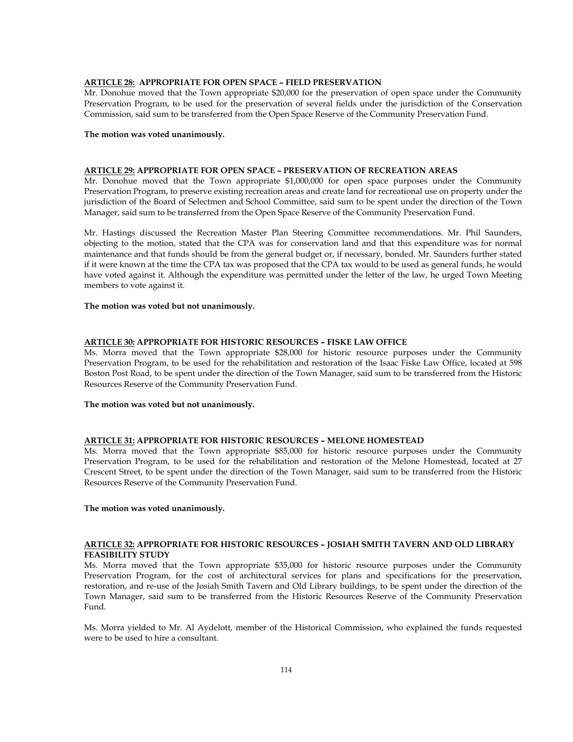## **ARTICLE 28: APPROPRIATE FOR OPEN SPACE – FIELD PRESERVATION**

Mr. Donohue moved that the Town appropriate \$20,000 for the preservation of open space under the Community Preservation Program, to be used for the preservation of several fields under the jurisdiction of the Conservation Commission, said sum to be transferred from the Open Space Reserve of the Community Preservation Fund.

### **The motion was voted unanimously.**

#### **ARTICLE 29: APPROPRIATE FOR OPEN SPACE – PRESERVATION OF RECREATION AREAS**

Mr. Donohue moved that the Town appropriate \$1,000,000 for open space purposes under the Community Preservation Program, to preserve existing recreation areas and create land for recreational use on property under the jurisdiction of the Board of Selectmen and School Committee, said sum to be spent under the direction of the Town Manager, said sum to be transferred from the Open Space Reserve of the Community Preservation Fund.

Mr. Hastings discussed the Recreation Master Plan Steering Committee recommendations. Mr. Phil Saunders, objecting to the motion, stated that the CPA was for conservation land and that this expenditure was for normal maintenance and that funds should be from the general budget or, if necessary, bonded. Mr. Saunders further stated if it were known at the time the CPA tax was proposed that the CPA tax would to be used as general funds, he would have voted against it. Although the expenditure was permitted under the letter of the law, he urged Town Meeting members to vote against it.

#### **The motion was voted but not unanimously.**

## **ARTICLE 30: APPROPRIATE FOR HISTORIC RESOURCES – FISKE LAW OFFICE**

Ms. Morra moved that the Town appropriate \$28,000 for historic resource purposes under the Community Preservation Program, to be used for the rehabilitation and restoration of the Isaac Fiske Law Office, located at 598 Boston Post Road, to be spent under the direction of the Town Manager, said sum to be transferred from the Historic Resources Reserve of the Community Preservation Fund.

#### **The motion was voted but not unanimously.**

# **ARTICLE 31: APPROPRIATE FOR HISTORIC RESOURCES – MELONE HOMESTEAD**

Ms. Morra moved that the Town appropriate \$85,000 for historic resource purposes under the Community Preservation Program, to be used for the rehabilitation and restoration of the Melone Homestead, located at 27 Crescent Street, to be spent under the direction of the Town Manager, said sum to be transferred from the Historic Resources Reserve of the Community Preservation Fund.

#### **The motion was voted unanimously.**

## **ARTICLE 32: APPROPRIATE FOR HISTORIC RESOURCES – JOSIAH SMITH TAVERN AND OLD LIBRARY FEASIBILITY STUDY**

Ms. Morra moved that the Town appropriate \$35,000 for historic resource purposes under the Community Preservation Program, for the cost of architectural services for plans and specifications for the preservation, restoration, and re-use of the Josiah Smith Tavern and Old Library buildings, to be spent under the direction of the Town Manager, said sum to be transferred from the Historic Resources Reserve of the Community Preservation Fund.

Ms. Morra yielded to Mr. Al Aydelott, member of the Historical Commission, who explained the funds requested were to be used to hire a consultant.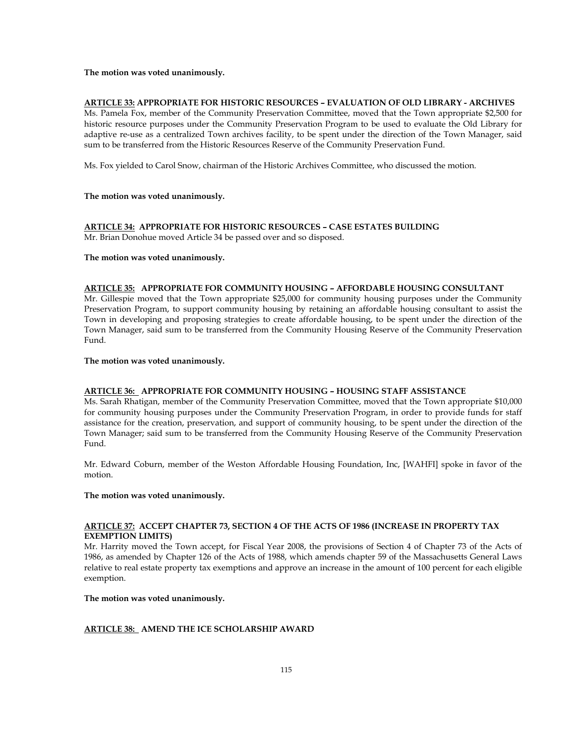## **ARTICLE 33: APPROPRIATE FOR HISTORIC RESOURCES – EVALUATION OF OLD LIBRARY - ARCHIVES**

Ms. Pamela Fox, member of the Community Preservation Committee, moved that the Town appropriate \$2,500 for historic resource purposes under the Community Preservation Program to be used to evaluate the Old Library for adaptive re-use as a centralized Town archives facility, to be spent under the direction of the Town Manager, said sum to be transferred from the Historic Resources Reserve of the Community Preservation Fund.

Ms. Fox yielded to Carol Snow, chairman of the Historic Archives Committee, who discussed the motion.

#### **The motion was voted unanimously.**

# **ARTICLE 34: APPROPRIATE FOR HISTORIC RESOURCES – CASE ESTATES BUILDING**

Mr. Brian Donohue moved Article 34 be passed over and so disposed.

#### **The motion was voted unanimously.**

# **ARTICLE 35: APPROPRIATE FOR COMMUNITY HOUSING – AFFORDABLE HOUSING CONSULTANT**

Mr. Gillespie moved that the Town appropriate \$25,000 for community housing purposes under the Community Preservation Program, to support community housing by retaining an affordable housing consultant to assist the Town in developing and proposing strategies to create affordable housing, to be spent under the direction of the Town Manager, said sum to be transferred from the Community Housing Reserve of the Community Preservation Fund.

#### **The motion was voted unanimously.**

## **ARTICLE 36: APPROPRIATE FOR COMMUNITY HOUSING – HOUSING STAFF ASSISTANCE**

Ms. Sarah Rhatigan, member of the Community Preservation Committee, moved that the Town appropriate \$10,000 for community housing purposes under the Community Preservation Program, in order to provide funds for staff assistance for the creation, preservation, and support of community housing, to be spent under the direction of the Town Manager; said sum to be transferred from the Community Housing Reserve of the Community Preservation Fund.

Mr. Edward Coburn, member of the Weston Affordable Housing Foundation, Inc, [WAHFI] spoke in favor of the motion.

# **The motion was voted unanimously.**

## **ARTICLE 37: ACCEPT CHAPTER 73, SECTION 4 OF THE ACTS OF 1986 (INCREASE IN PROPERTY TAX EXEMPTION LIMITS)**

Mr. Harrity moved the Town accept, for Fiscal Year 2008, the provisions of Section 4 of Chapter 73 of the Acts of 1986, as amended by Chapter 126 of the Acts of 1988, which amends chapter 59 of the Massachusetts General Laws relative to real estate property tax exemptions and approve an increase in the amount of 100 percent for each eligible exemption.

## **The motion was voted unanimously.**

### **ARTICLE 38: AMEND THE ICE SCHOLARSHIP AWARD**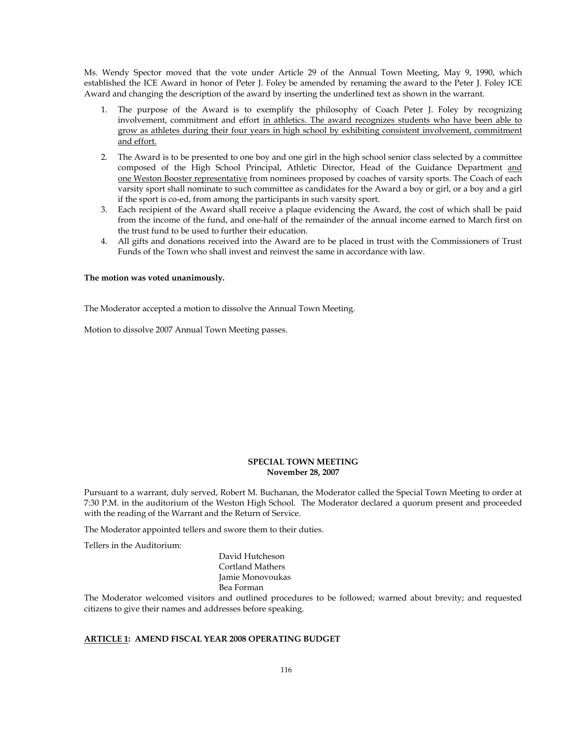Ms. Wendy Spector moved that the vote under Article 29 of the Annual Town Meeting, May 9, 1990, which established the ICE Award in honor of Peter J. Foley be amended by renaming the award to the Peter J. Foley ICE Award and changing the description of the award by inserting the underlined text as shown in the warrant.

- 1. The purpose of the Award is to exemplify the philosophy of Coach Peter J. Foley by recognizing involvement, commitment and effort in athletics. The award recognizes students who have been able to grow as athletes during their four years in high school by exhibiting consistent involvement, commitment and effort.
- 2. The Award is to be presented to one boy and one girl in the high school senior class selected by a committee composed of the High School Principal, Athletic Director, Head of the Guidance Department and one Weston Booster representative from nominees proposed by coaches of varsity sports. The Coach of each varsity sport shall nominate to such committee as candidates for the Award a boy or girl, or a boy and a girl if the sport is co-ed, from among the participants in such varsity sport.
- 3. Each recipient of the Award shall receive a plaque evidencing the Award, the cost of which shall be paid from the income of the fund, and one-half of the remainder of the annual income earned to March first on the trust fund to be used to further their education.
- 4. All gifts and donations received into the Award are to be placed in trust with the Commissioners of Trust Funds of the Town who shall invest and reinvest the same in accordance with law.

#### **The motion was voted unanimously.**

The Moderator accepted a motion to dissolve the Annual Town Meeting.

Motion to dissolve 2007 Annual Town Meeting passes.

## **SPECIAL TOWN MEETING November 28, 2007**

Pursuant to a warrant, duly served, Robert M. Buchanan, the Moderator called the Special Town Meeting to order at 7:30 P.M. in the auditorium of the Weston High School. The Moderator declared a quorum present and proceeded with the reading of the Warrant and the Return of Service.

The Moderator appointed tellers and swore them to their duties.

Tellers in the Auditorium:

David Hutcheson Cortland Mathers Jamie Monovoukas Bea Forman

The Moderator welcomed visitors and outlined procedures to be followed; warned about brevity; and requested citizens to give their names and addresses before speaking.

# **ARTICLE 1: AMEND FISCAL YEAR 2008 OPERATING BUDGET**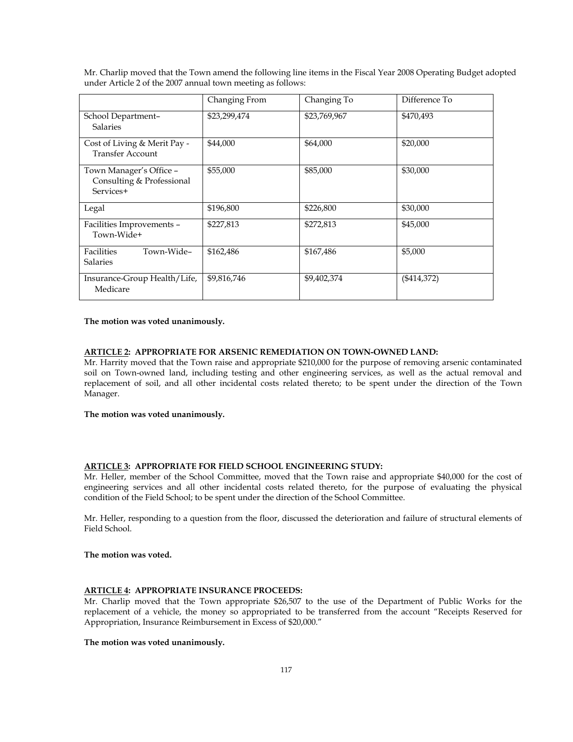|                                                                   | Changing From | Changing To  | Difference To |
|-------------------------------------------------------------------|---------------|--------------|---------------|
| School Department-<br><b>Salaries</b>                             | \$23,299,474  | \$23,769,967 | \$470,493     |
| Cost of Living & Merit Pay -<br><b>Transfer Account</b>           | \$44,000      | \$64,000     | \$20,000      |
| Town Manager's Office -<br>Consulting & Professional<br>Services+ | \$55,000      | \$85,000     | \$30,000      |
| Legal                                                             | \$196,800     | \$226,800    | \$30,000      |
| Facilities Improvements -<br>Town-Wide+                           | \$227,813     | \$272,813    | \$45,000      |
| Facilities<br>Town-Wide-<br><b>Salaries</b>                       | \$162,486     | \$167,486    | \$5,000       |
| Insurance-Group Health/Life,<br>Medicare                          | \$9,816,746   | \$9,402,374  | $(\$414,372)$ |

Mr. Charlip moved that the Town amend the following line items in the Fiscal Year 2008 Operating Budget adopted under Article 2 of the 2007 annual town meeting as follows:

#### **The motion was voted unanimously.**

# **ARTICLE 2: APPROPRIATE FOR ARSENIC REMEDIATION ON TOWN-OWNED LAND:**

Mr. Harrity moved that the Town raise and appropriate \$210,000 for the purpose of removing arsenic contaminated soil on Town-owned land, including testing and other engineering services, as well as the actual removal and replacement of soil, and all other incidental costs related thereto; to be spent under the direction of the Town Manager.

#### **The motion was voted unanimously.**

# **ARTICLE 3: APPROPRIATE FOR FIELD SCHOOL ENGINEERING STUDY:**

Mr. Heller, member of the School Committee, moved that the Town raise and appropriate \$40,000 for the cost of engineering services and all other incidental costs related thereto, for the purpose of evaluating the physical condition of the Field School; to be spent under the direction of the School Committee.

Mr. Heller, responding to a question from the floor, discussed the deterioration and failure of structural elements of Field School.

# **The motion was voted.**

# **ARTICLE 4: APPROPRIATE INSURANCE PROCEEDS:**

Mr. Charlip moved that the Town appropriate \$26,507 to the use of the Department of Public Works for the replacement of a vehicle, the money so appropriated to be transferred from the account "Receipts Reserved for Appropriation, Insurance Reimbursement in Excess of \$20,000."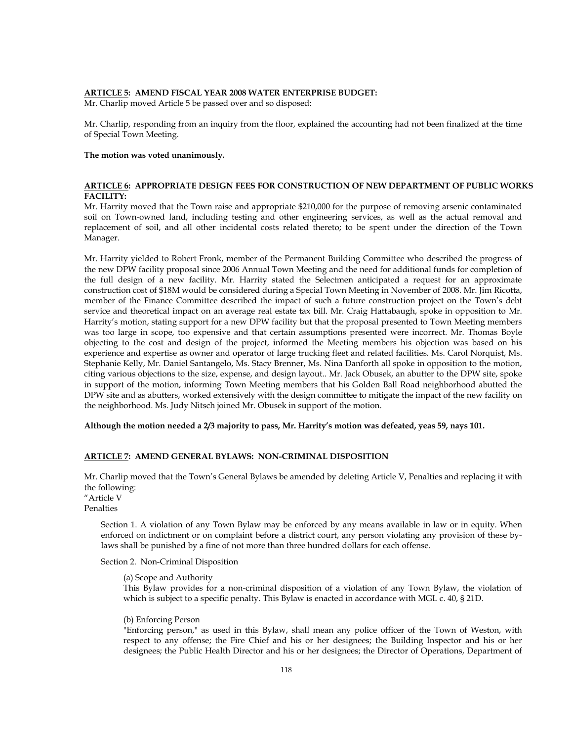# **ARTICLE 5: AMEND FISCAL YEAR 2008 WATER ENTERPRISE BUDGET:**

Mr. Charlip moved Article 5 be passed over and so disposed:

Mr. Charlip, responding from an inquiry from the floor, explained the accounting had not been finalized at the time of Special Town Meeting.

#### **The motion was voted unanimously.**

# **ARTICLE 6: APPROPRIATE DESIGN FEES FOR CONSTRUCTION OF NEW DEPARTMENT OF PUBLIC WORKS FACILITY:**

Mr. Harrity moved that the Town raise and appropriate \$210,000 for the purpose of removing arsenic contaminated soil on Town-owned land, including testing and other engineering services, as well as the actual removal and replacement of soil, and all other incidental costs related thereto; to be spent under the direction of the Town Manager.

Mr. Harrity yielded to Robert Fronk, member of the Permanent Building Committee who described the progress of the new DPW facility proposal since 2006 Annual Town Meeting and the need for additional funds for completion of the full design of a new facility. Mr. Harrity stated the Selectmen anticipated a request for an approximate construction cost of \$18M would be considered during a Special Town Meeting in November of 2008. Mr. Jim Ricotta, member of the Finance Committee described the impact of such a future construction project on the Town's debt service and theoretical impact on an average real estate tax bill. Mr. Craig Hattabaugh, spoke in opposition to Mr. Harrity's motion, stating support for a new DPW facility but that the proposal presented to Town Meeting members was too large in scope, too expensive and that certain assumptions presented were incorrect. Mr. Thomas Boyle objecting to the cost and design of the project, informed the Meeting members his objection was based on his experience and expertise as owner and operator of large trucking fleet and related facilities. Ms. Carol Norquist, Ms. Stephanie Kelly, Mr. Daniel Santangelo, Ms. Stacy Brenner, Ms. Nina Danforth all spoke in opposition to the motion, citing various objections to the size, expense, and design layout.. Mr. Jack Obusek, an abutter to the DPW site, spoke in support of the motion, informing Town Meeting members that his Golden Ball Road neighborhood abutted the DPW site and as abutters, worked extensively with the design committee to mitigate the impact of the new facility on the neighborhood. Ms. Judy Nitsch joined Mr. Obusek in support of the motion.

**Although the motion needed a 2/3 majority to pass, Mr. Harrity's motion was defeated, yeas 59, nays 101.** 

#### **ARTICLE 7: AMEND GENERAL BYLAWS: NON-CRIMINAL DISPOSITION**

Mr. Charlip moved that the Town's General Bylaws be amended by deleting Article V, Penalties and replacing it with the following:

"Article V Penalties

> Section 1. A violation of any Town Bylaw may be enforced by any means available in law or in equity. When enforced on indictment or on complaint before a district court, any person violating any provision of these bylaws shall be punished by a fine of not more than three hundred dollars for each offense.

Section 2. Non-Criminal Disposition

(a) Scope and Authority

This Bylaw provides for a non-criminal disposition of a violation of any Town Bylaw, the violation of which is subject to a specific penalty. This Bylaw is enacted in accordance with MGL c. 40, § 21D.

#### (b) Enforcing Person

"Enforcing person," as used in this Bylaw, shall mean any police officer of the Town of Weston, with respect to any offense; the Fire Chief and his or her designees; the Building Inspector and his or her designees; the Public Health Director and his or her designees; the Director of Operations, Department of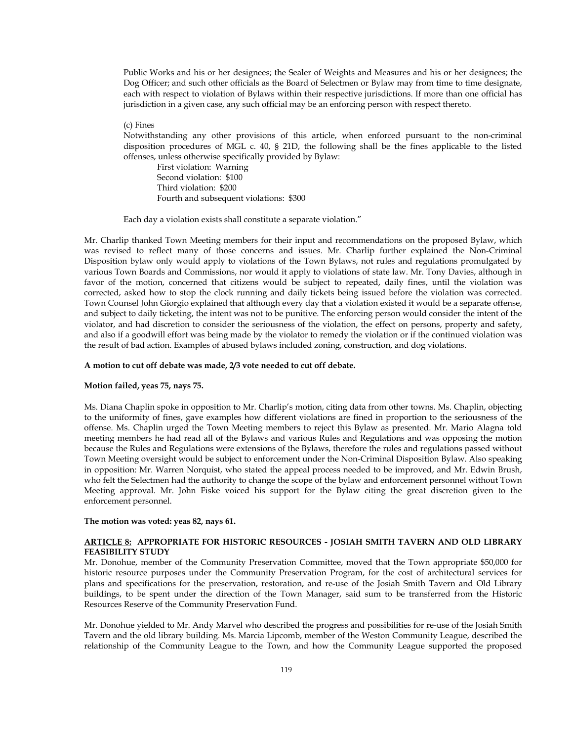Public Works and his or her designees; the Sealer of Weights and Measures and his or her designees; the Dog Officer; and such other officials as the Board of Selectmen or Bylaw may from time to time designate, each with respect to violation of Bylaws within their respective jurisdictions. If more than one official has jurisdiction in a given case, any such official may be an enforcing person with respect thereto.

## (c) Fines

Notwithstanding any other provisions of this article, when enforced pursuant to the non-criminal disposition procedures of MGL c. 40, § 21D, the following shall be the fines applicable to the listed offenses, unless otherwise specifically provided by Bylaw:

First violation: Warning Second violation: \$100 Third violation: \$200 Fourth and subsequent violations: \$300

Each day a violation exists shall constitute a separate violation."

Mr. Charlip thanked Town Meeting members for their input and recommendations on the proposed Bylaw, which was revised to reflect many of those concerns and issues. Mr. Charlip further explained the Non-Criminal Disposition bylaw only would apply to violations of the Town Bylaws, not rules and regulations promulgated by various Town Boards and Commissions, nor would it apply to violations of state law. Mr. Tony Davies, although in favor of the motion, concerned that citizens would be subject to repeated, daily fines, until the violation was corrected, asked how to stop the clock running and daily tickets being issued before the violation was corrected. Town Counsel John Giorgio explained that although every day that a violation existed it would be a separate offense, and subject to daily ticketing, the intent was not to be punitive. The enforcing person would consider the intent of the violator, and had discretion to consider the seriousness of the violation, the effect on persons, property and safety, and also if a goodwill effort was being made by the violator to remedy the violation or if the continued violation was the result of bad action. Examples of abused bylaws included zoning, construction, and dog violations.

#### **A motion to cut off debate was made, 2/3 vote needed to cut off debate.**

#### **Motion failed, yeas 75, nays 75.**

Ms. Diana Chaplin spoke in opposition to Mr. Charlip's motion, citing data from other towns. Ms. Chaplin, objecting to the uniformity of fines, gave examples how different violations are fined in proportion to the seriousness of the offense. Ms. Chaplin urged the Town Meeting members to reject this Bylaw as presented. Mr. Mario Alagna told meeting members he had read all of the Bylaws and various Rules and Regulations and was opposing the motion because the Rules and Regulations were extensions of the Bylaws, therefore the rules and regulations passed without Town Meeting oversight would be subject to enforcement under the Non-Criminal Disposition Bylaw. Also speaking in opposition: Mr. Warren Norquist, who stated the appeal process needed to be improved, and Mr. Edwin Brush, who felt the Selectmen had the authority to change the scope of the bylaw and enforcement personnel without Town Meeting approval. Mr. John Fiske voiced his support for the Bylaw citing the great discretion given to the enforcement personnel.

#### **The motion was voted: yeas 82, nays 61.**

## **ARTICLE 8: APPROPRIATE FOR HISTORIC RESOURCES - JOSIAH SMITH TAVERN AND OLD LIBRARY FEASIBILITY STUDY**

Mr. Donohue, member of the Community Preservation Committee, moved that the Town appropriate \$50,000 for historic resource purposes under the Community Preservation Program, for the cost of architectural services for plans and specifications for the preservation, restoration, and re-use of the Josiah Smith Tavern and Old Library buildings, to be spent under the direction of the Town Manager, said sum to be transferred from the Historic Resources Reserve of the Community Preservation Fund.

Mr. Donohue yielded to Mr. Andy Marvel who described the progress and possibilities for re-use of the Josiah Smith Tavern and the old library building. Ms. Marcia Lipcomb, member of the Weston Community League, described the relationship of the Community League to the Town, and how the Community League supported the proposed